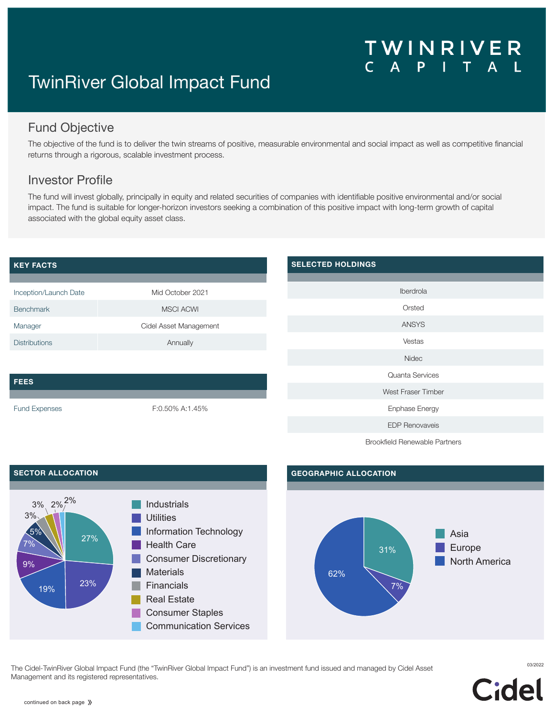# WINRIVER

# TwinRiver Global Impact Fund

# Fund Objective

The objective of the fund is to deliver the twin streams of positive, measurable environmental and social impact as well as competitive financial returns through a rigorous, scalable investment process.

## Investor Profile

The fund will invest globally, principally in equity and related securities of companies with identifiable positive environmental and/or social impact. The fund is suitable for longer-horizon investors seeking a combination of this positive impact with long-term growth of capital associated with the global equity asset class.

#### **KEY FACTS** Inception/Launch Date Mid October 2021 Benchmark MSCI ACWI Manager **Management** Cidel Asset Management Distributions **Annually FEES** Fund Expenses F:0.50% A:1.45% **SELECTED HOLDINGS** Iberdrola Orsted ANSYS Vestas Nidec Quanta Services West Fraser Timber Enphase Energy EDP Renovaveis

Brookfield Renewable Partners



<sup>03/2022</sup> The Cidel-TwinRiver Global Impact Fund (the "TwinRiver Global Impact Fund") is an investment fund issued and managed by Cidel Asset Management and its registered representatives.